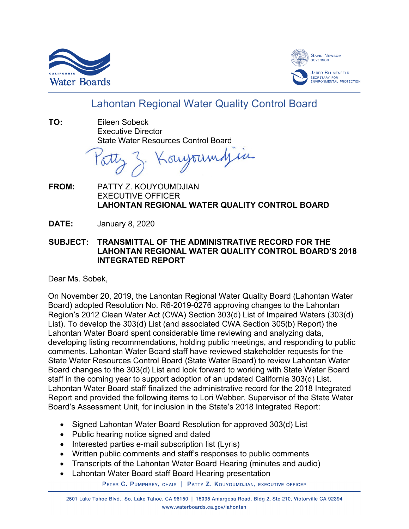



## Lahontan Regional Water Quality Control Board

**TO:** Eileen Sobeck Executive Director State Water Resources Control Board

oujourndjin

- **FROM:** PATTY Z. KOUYOUMDJIAN EXECUTIVE OFFICER **LAHONTAN REGIONAL WATER QUALITY CONTROL BOARD**
- **DATE:** January 8, 2020
- **SUBJECT: TRANSMITTAL OF THE ADMINISTRATIVE RECORD FOR THE LAHONTAN REGIONAL WATER QUALITY CONTROL BOARD'S 2018 INTEGRATED REPORT**

Dear Ms. Sobek,

On November 20, 2019, the Lahontan Regional Water Quality Board (Lahontan Water Board) adopted Resolution No. R6-2019-0276 approving changes to the Lahontan Region's 2012 Clean Water Act (CWA) Section 303(d) List of Impaired Waters (303(d) List). To develop the 303(d) List (and associated CWA Section 305(b) Report) the Lahontan Water Board spent considerable time reviewing and analyzing data, developing listing recommendations, holding public meetings, and responding to public comments. Lahontan Water Board staff have reviewed stakeholder requests for the State Water Resources Control Board (State Water Board) to review Lahontan Water Board changes to the 303(d) List and look forward to working with State Water Board staff in the coming year to support adoption of an updated California 303(d) List. Lahontan Water Board staff finalized the administrative record for the 2018 Integrated Report and provided the following items to Lori Webber, Supervisor of the State Water Board's Assessment Unit, for inclusion in the State's 2018 Integrated Report:

- Signed Lahontan Water Board Resolution for approved 303(d) List
- Public hearing notice signed and dated
- Interested parties e-mail subscription list (Lyris)
- Written public comments and staff's responses to public comments
- Transcripts of the Lahontan Water Board Hearing (minutes and audio)
- Lahontan Water Board staff Board Hearing presentation

PETER C. PUMPHREY, CHAIR | PATTY Z. KOUYOUMDJIAN, EXECUTIVE OFFICER